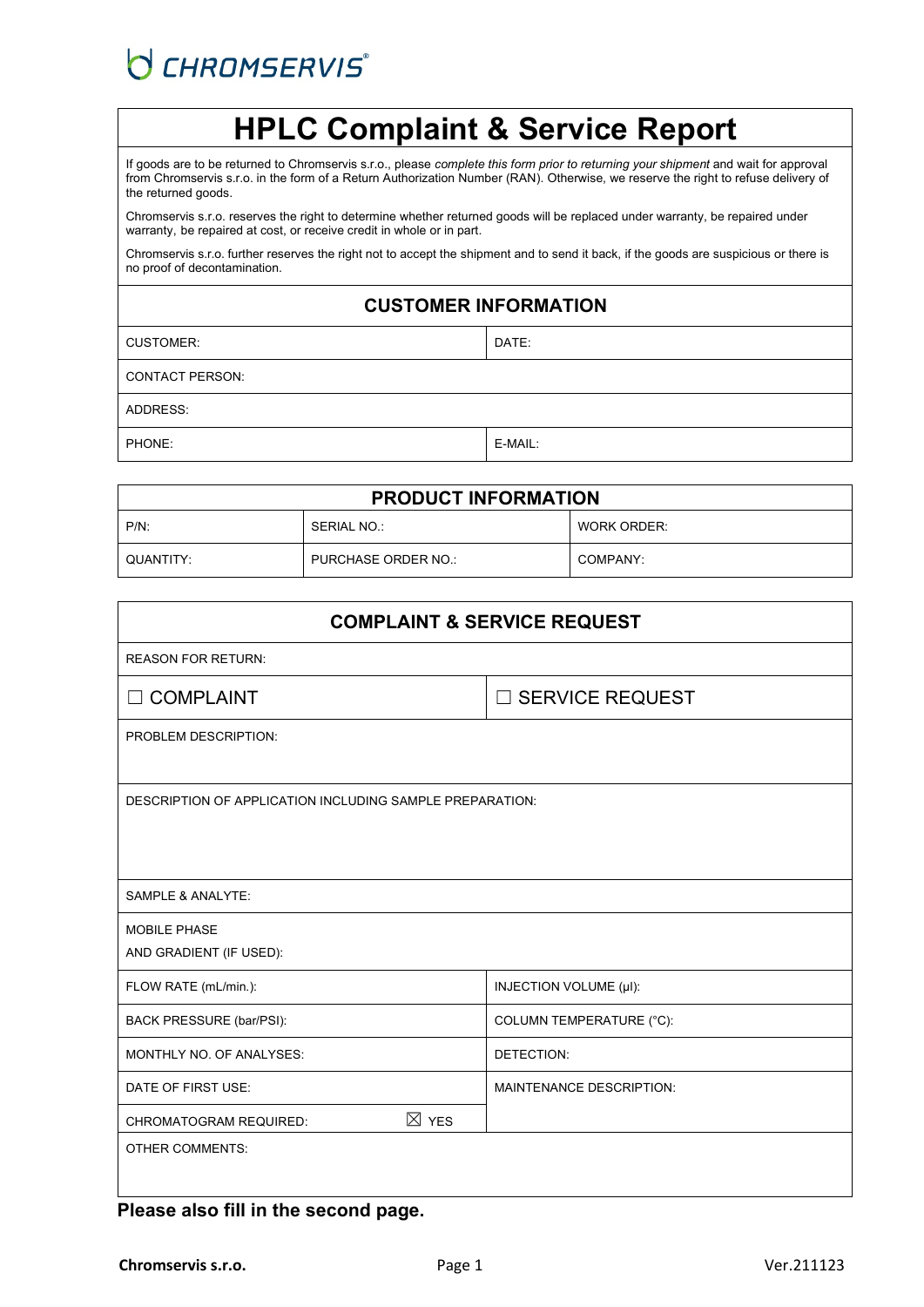# O CHROMSERVIS®

# **HPLC Complaint & Service Report**

If goods are to be returned to Chromservis s.r.o., please *complete this form prior to returning your shipment* and wait for approval from Chromservis s.r.o. in the form of a Return Authorization Number (RAN). Otherwise, we reserve the right to refuse delivery of the returned goods.

Chromservis s.r.o. reserves the right to determine whether returned goods will be replaced under warranty, be repaired under warranty, be repaired at cost, or receive credit in whole or in part.

Chromservis s.r.o. further reserves the right not to accept the shipment and to send it back, if the goods are suspicious or there is no proof of decontamination.

## **CUSTOMER INFORMATION**

| <b>CUSTOMER:</b> | I DATE: |
|------------------|---------|

CONTACT PERSON:

ADDRESS:

PHONE: E-MAIL:

| <b>PRODUCT INFORMATION</b> |                     |             |  |  |
|----------------------------|---------------------|-------------|--|--|
| $P/N$ :                    | SERIAL NO.:         | WORK ORDER: |  |  |
| QUANTITY:                  | PURCHASE ORDER NO.: | COMPANY:    |  |  |

| <b>COMPLAINT &amp; SERVICE REQUEST</b>                   |                                 |  |  |  |
|----------------------------------------------------------|---------------------------------|--|--|--|
| <b>REASON FOR RETURN:</b>                                |                                 |  |  |  |
| $\Box$ COMPLAINT                                         | □ SERVICE REQUEST               |  |  |  |
| PROBLEM DESCRIPTION:                                     |                                 |  |  |  |
|                                                          |                                 |  |  |  |
| DESCRIPTION OF APPLICATION INCLUDING SAMPLE PREPARATION: |                                 |  |  |  |
|                                                          |                                 |  |  |  |
|                                                          |                                 |  |  |  |
| SAMPLE & ANALYTE:                                        |                                 |  |  |  |
| <b>MOBILE PHASE</b>                                      |                                 |  |  |  |
| AND GRADIENT (IF USED):                                  |                                 |  |  |  |
| FLOW RATE (mL/min.):                                     | INJECTION VOLUME (µI):          |  |  |  |
| BACK PRESSURE (bar/PSI):                                 | COLUMN TEMPERATURE (°C):        |  |  |  |
| MONTHLY NO. OF ANALYSES:                                 | DETECTION:                      |  |  |  |
| DATE OF FIRST USE:                                       | <b>MAINTENANCE DESCRIPTION:</b> |  |  |  |
| $\boxtimes$ YES<br><b>CHROMATOGRAM REQUIRED:</b>         |                                 |  |  |  |
| <b>OTHER COMMENTS:</b>                                   |                                 |  |  |  |
|                                                          |                                 |  |  |  |

#### **Please also fill in the second page.**